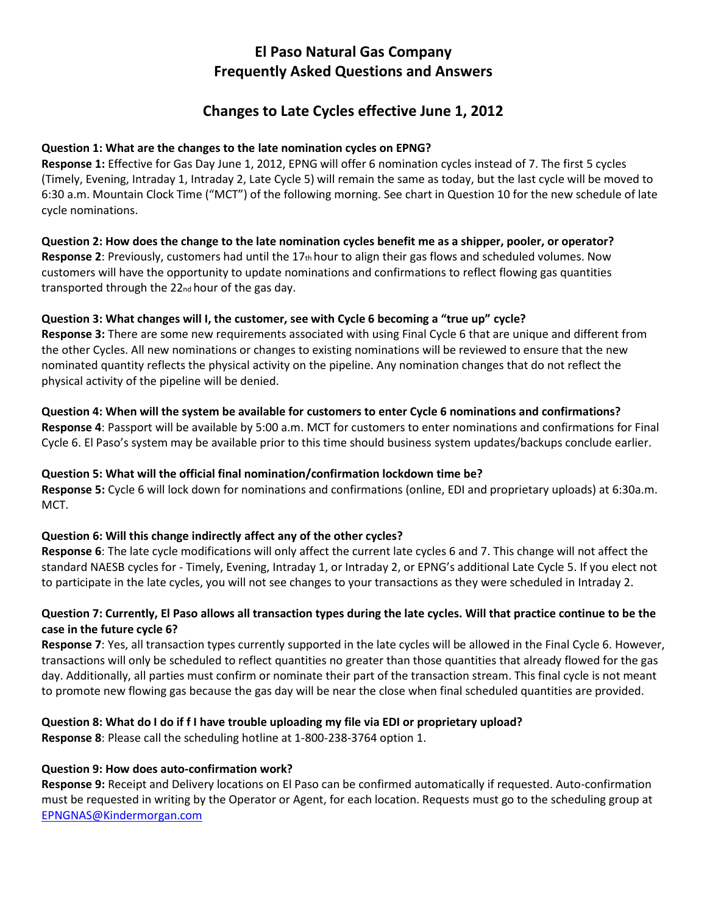# **El Paso Natural Gas Company Frequently Asked Questions and Answers**

# **Changes to Late Cycles effective June 1, 2012**

### **Question 1: What are the changes to the late nomination cycles on EPNG?**

**Response 1:** Effective for Gas Day June 1, 2012, EPNG will offer 6 nomination cycles instead of 7. The first 5 cycles (Timely, Evening, Intraday 1, Intraday 2, Late Cycle 5) will remain the same as today, but the last cycle will be moved to 6:30 a.m. Mountain Clock Time ("MCT") of the following morning. See chart in Question 10 for the new schedule of late cycle nominations.

**Question 2: How does the change to the late nomination cycles benefit me as a shipper, pooler, or operator? Response 2**: Previously, customers had until the 17th hour to align their gas flows and scheduled volumes. Now customers will have the opportunity to update nominations and confirmations to reflect flowing gas quantities transported through the 22nd hour of the gas day.

### **Question 3: What changes will I, the customer, see with Cycle 6 becoming a "true up" cycle?**

**Response 3:** There are some new requirements associated with using Final Cycle 6 that are unique and different from the other Cycles. All new nominations or changes to existing nominations will be reviewed to ensure that the new nominated quantity reflects the physical activity on the pipeline. Any nomination changes that do not reflect the physical activity of the pipeline will be denied.

**Question 4: When will the system be available for customers to enter Cycle 6 nominations and confirmations? Response 4**: Passport will be available by 5:00 a.m. MCT for customers to enter nominations and confirmations for Final Cycle 6. El Paso's system may be available prior to this time should business system updates/backups conclude earlier.

## **Question 5: What will the official final nomination/confirmation lockdown time be?**

**Response 5:** Cycle 6 will lock down for nominations and confirmations (online, EDI and proprietary uploads) at 6:30a.m. MCT.

## **Question 6: Will this change indirectly affect any of the other cycles?**

**Response 6**: The late cycle modifications will only affect the current late cycles 6 and 7. This change will not affect the standard NAESB cycles for - Timely, Evening, Intraday 1, or Intraday 2, or EPNG's additional Late Cycle 5. If you elect not to participate in the late cycles, you will not see changes to your transactions as they were scheduled in Intraday 2.

### **Question 7: Currently, El Paso allows all transaction types during the late cycles. Will that practice continue to be the case in the future cycle 6?**

**Response 7**: Yes, all transaction types currently supported in the late cycles will be allowed in the Final Cycle 6. However, transactions will only be scheduled to reflect quantities no greater than those quantities that already flowed for the gas day. Additionally, all parties must confirm or nominate their part of the transaction stream. This final cycle is not meant to promote new flowing gas because the gas day will be near the close when final scheduled quantities are provided.

### **Question 8: What do I do if f I have trouble uploading my file via EDI or proprietary upload?**

**Response 8**: Please call the scheduling hotline at 1-800-238-3764 option 1.

### **Question 9: How does auto-confirmation work?**

**Response 9:** Receipt and Delivery locations on El Paso can be confirmed automatically if requested. Auto-confirmation must be requested in writing by the Operator or Agent, for each location. Requests must go to the scheduling group at [EPNGNAS@Kindermorgan.com](mailto:EPNGNAS@Kindermorgan.com)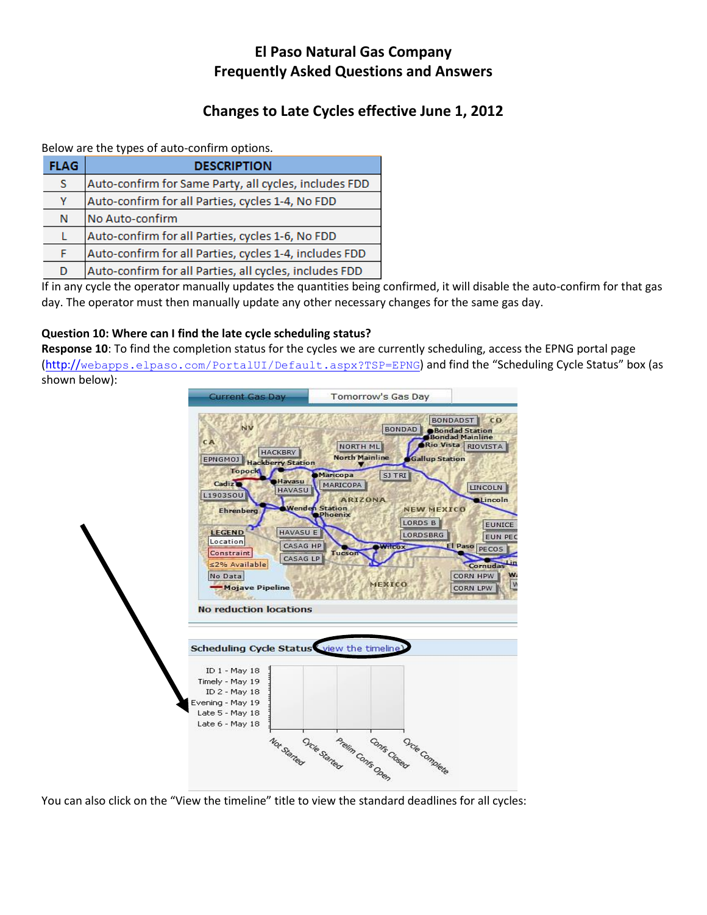# **El Paso Natural Gas Company Frequently Asked Questions and Answers**

# **Changes to Late Cycles effective June 1, 2012**

Below are the types of auto-confirm options.

| <b>FLAG</b> | <b>DESCRIPTION</b>                                     |
|-------------|--------------------------------------------------------|
| s           | Auto-confirm for Same Party, all cycles, includes FDD  |
| Υ           | Auto-confirm for all Parties, cycles 1-4, No FDD       |
| N           | No Auto-confirm                                        |
| L           | Auto-confirm for all Parties, cycles 1-6, No FDD       |
| F           | Auto-confirm for all Parties, cycles 1-4, includes FDD |
| D           | Auto-confirm for all Parties, all cycles, includes FDD |

If in any cycle the operator manually updates the quantities being confirmed, it will disable the auto-confirm for that gas day. The operator must then manually update any other necessary changes for the same gas day.

### **Question 10: Where can I find the late cycle scheduling status?**

**Response 10**: To find the completion status for the cycles we are currently scheduling, access the EPNG portal page (http://[webapps.elpaso.com/PortalUI/Default.aspx?TSP=EPNG](http://webapps.elpaso.com/PortalUI/Default.aspx?TSP=EPNG)) and find the "Scheduling Cycle Status" box (as shown below):



You can also click on the "View the timeline" title to view the standard deadlines for all cycles: